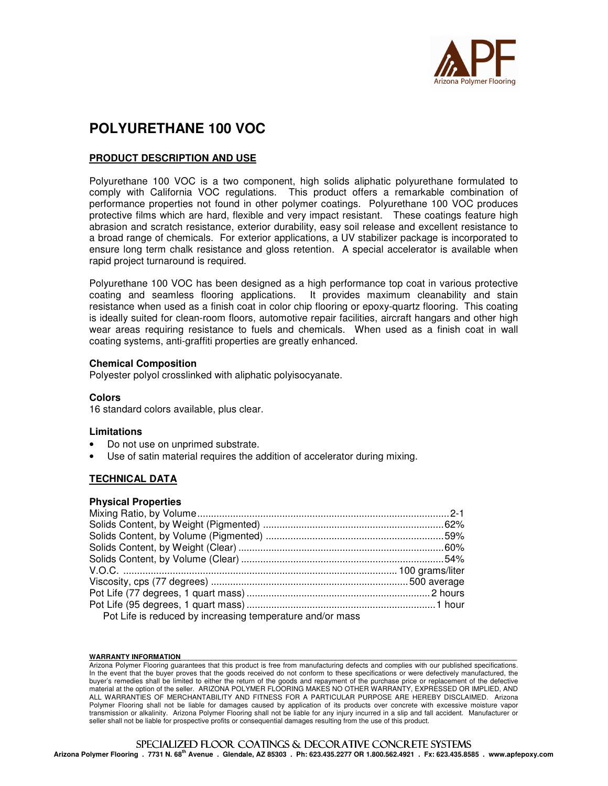

# **POLYURETHANE 100 VOC**

### **PRODUCT DESCRIPTION AND USE**

Polyurethane 100 VOC is a two component, high solids aliphatic polyurethane formulated to comply with California VOC regulations. This product offers a remarkable combination of performance properties not found in other polymer coatings. Polyurethane 100 VOC produces protective films which are hard, flexible and very impact resistant. These coatings feature high abrasion and scratch resistance, exterior durability, easy soil release and excellent resistance to a broad range of chemicals. For exterior applications, a UV stabilizer package is incorporated to ensure long term chalk resistance and gloss retention. A special accelerator is available when rapid project turnaround is required.

Polyurethane 100 VOC has been designed as a high performance top coat in various protective coating and seamless flooring applications. It provides maximum cleanability and stain resistance when used as a finish coat in color chip flooring or epoxy-quartz flooring. This coating is ideally suited for clean-room floors, automotive repair facilities, aircraft hangars and other high wear areas requiring resistance to fuels and chemicals. When used as a finish coat in wall coating systems, anti-graffiti properties are greatly enhanced.

#### **Chemical Composition**

Polyester polyol crosslinked with aliphatic polyisocyanate.

#### **Colors**

16 standard colors available, plus clear.

### **Limitations**

- Do not use on unprimed substrate.
- Use of satin material requires the addition of accelerator during mixing.

### **TECHNICAL DATA**

#### **Physical Properties**

| Pot Life is reduced by increasing temperature and/or mass |  |
|-----------------------------------------------------------|--|

#### WARRANTY INFORMATION

Arizona Polymer Flooring guarantees that this product is free from manufacturing defects and complies with our published specifications. In the event that the buyer proves that the goods received do not conform to these specifications or were defectively manufactured, the buyer's remedies shall be limited to either the return of the goods and repayment of the purchase price or replacement of the defective material at the option of the seller. ARIZONA POLYMER FLOORING MAKES NO OTHER WARRANTY, EXPRESSED OR IMPLIED, AND ALL WARRANTIES OF MERCHANTABILITY AND FITNESS FOR A PARTICULAR PURPOSE ARE HEREBY DISCLAIMED. Arizona Polymer Flooring shall not be liable for damages caused by application of its products over concrete with excessive moisture vapor transmission or alkalinity. Arizona Polymer Flooring shall not be liable for any injury incurred in a slip and fall accident. Manufacturer or seller shall not be liable for prospective profits or consequential damages resulting from the use of this product.

## SPECIALIZED FLOOR COATINGS & DECORATIVE CONCRETE SYSTEMS

**Arizona Polymer Flooring . 7731 N. 68th Avenue . Glendale, AZ 85303 . Ph: 623.435.2277 OR 1.800.562.4921 . Fx: 623.435.8585 . www.apfepoxy.com**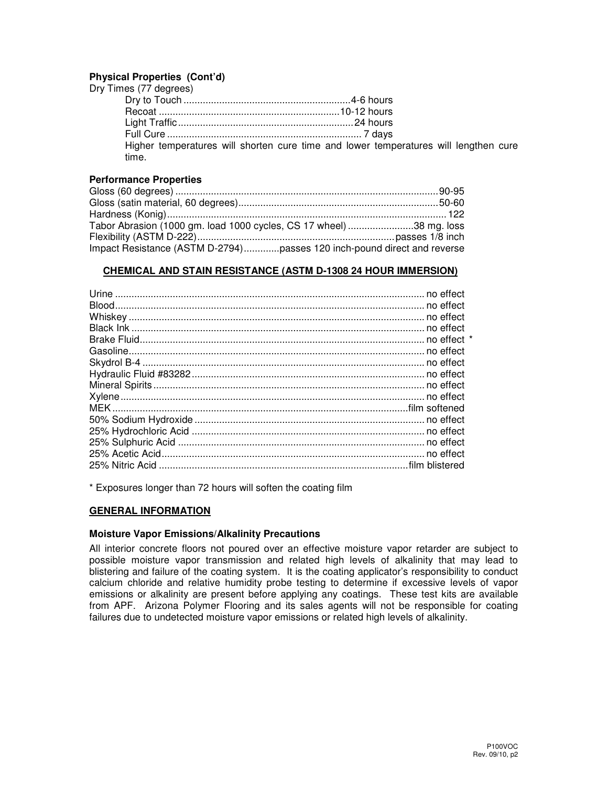### **Physical Properties (Cont'd)**

| Dry Times (77 degrees) |                                                                                      |
|------------------------|--------------------------------------------------------------------------------------|
|                        |                                                                                      |
|                        |                                                                                      |
|                        |                                                                                      |
|                        |                                                                                      |
| time.                  | Higher temperatures will shorten cure time and lower temperatures will lengthen cure |

### **Performance Properties**

| Tabor Abrasion (1000 gm. load 1000 cycles, CS 17 wheel) 38 mg. loss     |  |
|-------------------------------------------------------------------------|--|
|                                                                         |  |
| Impact Resistance (ASTM D-2794)passes 120 inch-pound direct and reverse |  |

### **CHEMICAL AND STAIN RESISTANCE (ASTM D-1308 24 HOUR IMMERSION)**

\* Exposures longer than 72 hours will soften the coating film

### **GENERAL INFORMATION**

### **Moisture Vapor Emissions/Alkalinity Precautions**

All interior concrete floors not poured over an effective moisture vapor retarder are subject to possible moisture vapor transmission and related high levels of alkalinity that may lead to blistering and failure of the coating system. It is the coating applicator's responsibility to conduct calcium chloride and relative humidity probe testing to determine if excessive levels of vapor emissions or alkalinity are present before applying any coatings. These test kits are available from APF. Arizona Polymer Flooring and its sales agents will not be responsible for coating failures due to undetected moisture vapor emissions or related high levels of alkalinity.